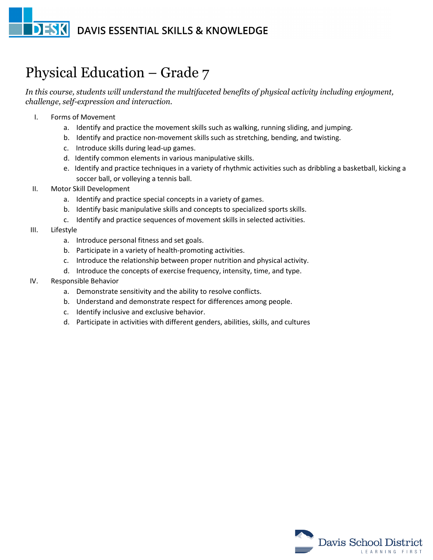## **DESK** DAVIS ESSENTIAL SKILLS & KNOWLEDGE

## Physical Education – Grade 7

*In this course, students will understand the multifaceted benefits of physical activity including enjoyment, challenge, self-expression and interaction.*

- I. Forms of Movement
	- a. Identify and practice the movement skills such as walking, running sliding, and jumping.
	- b. Identify and practice non-movement skills such as stretching, bending, and twisting.
	- c. Introduce skills during lead-up games.
	- d. Identify common elements in various manipulative skills.
	- e. Identify and practice techniques in a variety of rhythmic activities such as dribbling a basketball, kicking a soccer ball, or volleying a tennis ball.
- II. Motor Skill Development
	- a. Identify and practice special concepts in a variety of games.
	- b. Identify basic manipulative skills and concepts to specialized sports skills.
	- c. Identify and practice sequences of movement skills in selected activities.
- III. Lifestyle
	- a. Introduce personal fitness and set goals.
	- b. Participate in a variety of health-promoting activities.
	- c. Introduce the relationship between proper nutrition and physical activity.
	- d. Introduce the concepts of exercise frequency, intensity, time, and type.
- IV. Responsible Behavior
	- a. Demonstrate sensitivity and the ability to resolve conflicts.
	- b. Understand and demonstrate respect for differences among people.
	- c. Identify inclusive and exclusive behavior.
	- d. Participate in activities with different genders, abilities, skills, and cultures